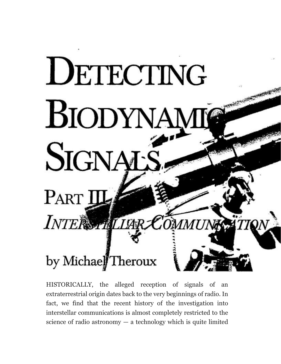# DETECTING BIODYNAME SIGNALS

INTERSTRILIAR COMMUN

**WESTERN BEEN** 

 $ATION$ 

# by Michael Theroux

Part I

HISTORICALLY, the alleged reception of signals of an extraterrestrial origin dates back to the very beginnings of radio. In fact, we find that the recent history of the investigation into interstellar communications is almost completely restricted to the science of radio astronomy  $-$  a technology which is quite limited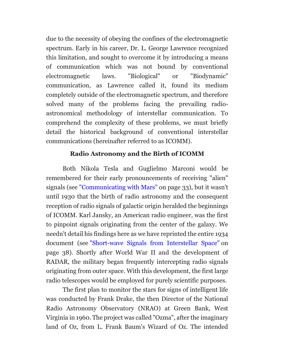due to the necessity of obeying the confines of the electromagnetic spectrum. Early in his career, Dr. L. George Lawrence recognized this limitation, and sought to overcome it by introducing a means of communication which was not bound by conventional electromagnetic laws. "Biological" or "Biodynamic" communication, as Lawrence called it, found its medium completely outside of the electromagnetic spectrum, and therefore solved many of the problems facing the prevailing radioastronomical methodology of interstellar communication. To comprehend the complexity of these problems, we must briefly detail the historical background of conventional interstellar communications (hereinafter referred to as ICOMM).

# **Radio Astronomy and the Birth of ICOMM**

Both Nikola Tesla and Guglielmo Marconi would be remembered for their early pronouncements of receiving "alien" signals (see ["Communicating with Mars"](https://borderlandsciences.org/journal/vol/53/n02/index.html) on page 33), but it wasn't until 1930 that the birth of radio astronomy and the consequent reception of radio signals of galactic origin heralded the beginnings of ICOMM. Karl Jansky, an American radio engineer, was the first to pinpoint signals originating from the center of the galaxy. We needn't detail his findings here as we have reprinted the entire 1934 document (see ["Short-wave Signals from Interstellar Space"](https://borderlandsciences.org/journal/vol/53/n02/index.html) on page 38). Shortly after World War II and the development of RADAR, the military began frequently intercepting radio signals originating from outer space. With this development, the first large radio telescopes would be employed for purely scientific purposes.

The first plan to monitor the stars for signs of intelligent life was conducted by Frank Drake, the then Director of the National Radio Astronomy Observatory (NRAO) at Green Bank, West Virginia in 1960. The project was called "Ozma", after the imaginary land of Oz, from L. Frank Baum's Wizard of Oz. The intended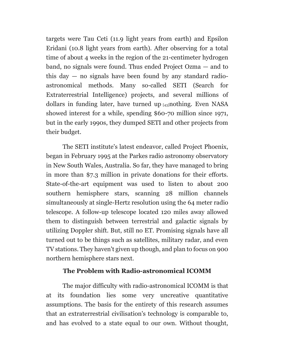targets were Tau Ceti (11.9 light years from earth) and Epsilon Eridani (10.8 light years from earth). After observing for a total time of about 4 weeks in the region of the 21-centimeter hydrogen band, no signals were found. Thus ended Project Ozma — and to this day — no signals have been found by any standard radioastronomical methods. Many so-called SETI (Search for Extraterrestrial Intelligence) projects, and several millions of dollars in funding later, have turned up  $[43]$ nothing. Even NASA showed interest for a while, spending \$60-70 million since 1971, but in the early 1990s, they dumped SETI and other projects from their budget.

The SETI institute's latest endeavor, called Project Phoenix, began in February 1995 at the Parkes radio astronomy observatory in New South Wales, Australia. So far, they have managed to bring in more than \$7.3 million in private donations for their efforts. State-of-the-art equipment was used to listen to about 200 southern hemisphere stars, scanning 28 million channels simultaneously at single-Hertz resolution using the 64 meter radio telescope. A follow-up telescope located 120 miles away allowed them to distinguish between terrestrial and galactic signals by utilizing Doppler shift. But, still no ET. Promising signals have all turned out to be things such as satellites, military radar, and even TV stations. They haven't given up though, and plan to focus on 900 northern hemisphere stars next.

# **The Problem with Radio-astronomical ICOMM**

The major difficulty with radio-astronomical ICOMM is that at its foundation lies some very uncreative quantitative assumptions. The basis for the entirety of this research assumes that an extraterrestrial civilisation's technology is comparable to, and has evolved to a state equal to our own. Without thought,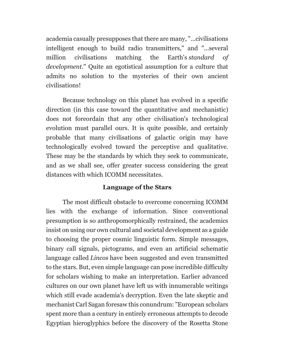academia casually presupposes that there are many, "...civilisations intelligent enough to build radio transmitters," and "...several million civilisations matching the Earth's *standard of development*." Quite an egotistical assumption for a culture that admits no solution to the mysteries of their own ancient civilisations!

Because technology on this planet has evolved in a specific direction (in this case toward the quantitative and mechanistic) does not foreordain that any other civilisation's technological evolution must parallel ours. It is quite possible, and certainly probable that many civilisations of galactic origin may have technologically evolved toward the perceptive and qualitative. These may be the standards by which they seek to communicate, and as we shall see, offer greater success considering the great distances with which ICOMM necessitates.

# **Language of the Stars**

The most difficult obstacle to overcome concerning ICOMM lies with the exchange of information. Since conventional presumption is so anthropomorphically restrained, the academics insist on using our own cultural and societal development as a guide to choosing the proper cosmic linguistic form. Simple messages, binary call signals, pictograms, and even an artificial schematic language called *Lincos* have been suggested and even transmitted to the stars. But, even simple language can pose incredible difficulty for scholars wishing to make an interpretation. Earlier advanced cultures on our own planet have left us with innumerable writings which still evade academia's decryption. Even the late skeptic and mechanist Carl Sagan foresaw this conundrum: "European scholars spent more than a century in entirely erroneous attempts to decode Egyptian hieroglyphics before the discovery of the Rosetta Stone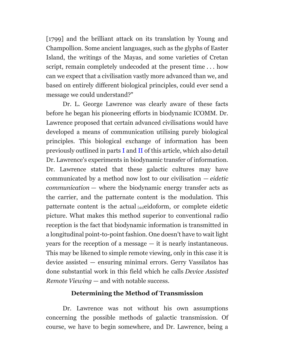[1799] and the brilliant attack on its translation by Young and Champollion. Some ancient languages, such as the glyphs of Easter Island, the writings of the Mayas, and some varieties of Cretan script, remain completely undecoded at the present time . . . how can we expect that a civilisation vastly more advanced than we, and based on entirely different biological principles, could ever send a message we could understand?"

Dr. L. George Lawrence was clearly aware of these facts before he began his pioneering efforts in biodynamic ICOMM. Dr. Lawrence proposed that certain advanced civilisations would have developed a means of communication utilising purely biological principles. This biological exchange of information has been previously outlined in parts [I](https://borderlandsciences.org/journal/vol/52/n03/Theroux_Detecting_Biodynamic_Signals_I.html) and [II](https://borderlandsciences.org/journal/vol/52/n04/Theroux_Detecting_Biodynamic_Signals_II.html) of this article, which also detail Dr. Lawrence's experiments in biodynamic transfer of information. Dr. Lawrence stated that these galactic cultures may have communicated by a method now lost to our civilisation — *eidetic communication* — where the biodynamic energy transfer acts as the carrier, and the patternate content is the modulation. This patternate content is the actual [44]eidoform, or complete eidetic picture. What makes this method superior to conventional radio reception is the fact that biodynamic information is transmitted in a longitudinal point-to-point fashion. One doesn't have to wait light years for the reception of a message — it is nearly instantaneous. This may be likened to simple remote viewing, only in this case it is device assisted — ensuring minimal errors. Gerry Vassilatos has done substantial work in this field which he calls *Device Assisted Remote Viewing* — and with notable success.

#### **Determining the Method of Transmission**

Dr. Lawrence was not without his own assumptions concerning the possible methods of galactic transmission. Of course, we have to begin somewhere, and Dr. Lawrence, being a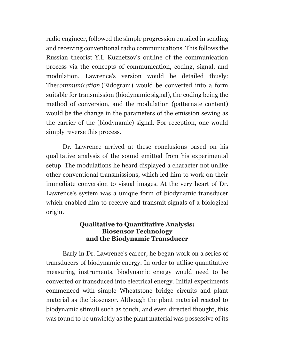radio engineer, followed the simple progression entailed in sending and receiving conventional radio communications. This follows the Russian theorist Y.I. Kuznetzov's outline of the communication process via the concepts of communication, coding, signal, and modulation. Lawrence's version would be detailed thusly: The*communication* (Eidogram) would be converted into a form suitable for transmission (biodynamic signal), the coding being the method of conversion, and the modulation (patternate content) would be the change in the parameters of the emission sewing as the carrier of the (biodynamic) signal. For reception, one would simply reverse this process.

Dr. Lawrence arrived at these conclusions based on his qualitative analysis of the sound emitted from his experimental setup. The modulations he heard displayed a character not unlike other conventional transmissions, which led him to work on their immediate conversion to visual images. At the very heart of Dr. Lawrence's system was a unique form of biodynamic transducer which enabled him to receive and transmit signals of a biological origin.

### **Qualitative to Quantitative Analysis: Biosensor Technology and the Biodynamic Transducer**

Early in Dr. Lawrence's career, he began work on a series of transducers of biodynamic energy. In order to utilise quantitative measuring instruments, biodynamic energy would need to be converted or transduced into electrical energy. Initial experiments commenced with simple Wheatstone bridge circuits and plant material as the biosensor. Although the plant material reacted to biodynamic stimuli such as touch, and even directed thought, this was found to be unwieldy as the plant material was possessive of its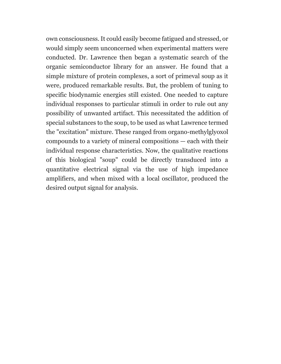own consciousness. It could easily become fatigued and stressed, or would simply seem unconcerned when experimental matters were conducted. Dr. Lawrence then began a systematic search of the organic semiconductor library for an answer. He found that a simple mixture of protein complexes, a sort of primeval soup as it were, produced remarkable results. But, the problem of tuning to specific biodynamic energies still existed. One needed to capture individual responses to particular stimuli in order to rule out any possibility of unwanted artifact. This necessitated the addition of special substances to the soup, to be used as what Lawrence termed the "excitation" mixture. These ranged from organo-methylglyoxol compounds to a variety of mineral compositions — each with their individual response characteristics. Now, the qualitative reactions of this biological "soup" could be directly transduced into a quantitative electrical signal via the use of high impedance amplifiers, and when mixed with a local oscillator, produced the desired output signal for analysis.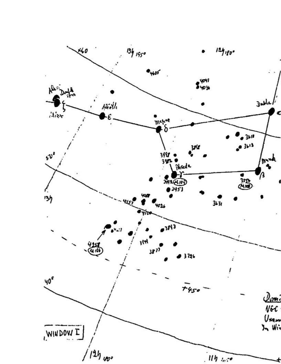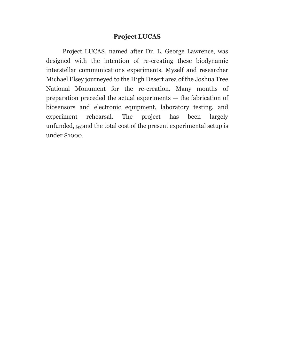# **Project LUCAS**

Project LUCAS, named after Dr. L. George Lawrence, was designed with the intention of re-creating these biodynamic interstellar communications experiments. Myself and researcher Michael Elsey journeyed to the High Desert area of the Joshua Tree National Monument for the re-creation. Many months of preparation preceded the actual experiments — the fabrication of biosensors and electronic equipment, laboratory testing, and experiment rehearsal. The project has been largely unfunded, [45]and the total cost of the present experimental setup is under \$1000.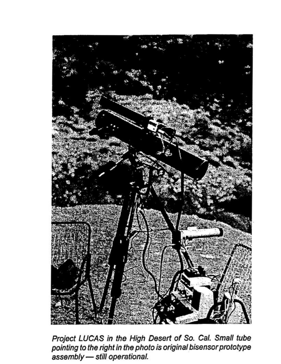

Project LUCAS in the High Desert of So. Cal. Small tube pointing to the right in the photo is original bisensor prototype assembly - still operational.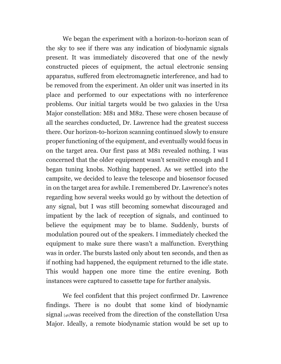We began the experiment with a horizon-to-horizon scan of the sky to see if there was any indication of biodynamic signals present. It was immediately discovered that one of the newly constructed pieces of equipment, the actual electronic sensing apparatus, suffered from electromagnetic interference, and had to be removed from the experiment. An older unit was inserted in its place and performed to our expectations with no interference problems. Our initial targets would be two galaxies in the Ursa Major constellation: M81 and M82. These were chosen because of all the searches conducted, Dr. Lawrence had the greatest success there. Our horizon-to-horizon scanning continued slowly to ensure proper functioning of the equipment, and eventually would focus in on the target area. Our first pass at M81 revealed nothing. I was concerned that the older equipment wasn't sensitive enough and I began tuning knobs. Nothing happened. As we settled into the campsite, we decided to leave the telescope and biosensor focused in on the target area for awhile. I remembered Dr. Lawrence's notes regarding how several weeks would go by without the detection of any signal, but I was still becoming somewhat discouraged and impatient by the lack of reception of signals, and continued to believe the equipment may be to blame. Suddenly, bursts of modulation poured out of the speakers. I immediately checked the equipment to make sure there wasn't a malfunction. Everything was in order. The bursts lasted only about ten seconds, and then as if nothing had happened, the equipment returned to the idle state. This would happen one more time the entire evening. Both instances were captured to cassette tape for further analysis.

We feel confident that this project confirmed Dr. Lawrence findings. There is no doubt that some kind of biodynamic signal [46]was received from the direction of the constellation Ursa Major. Ideally, a remote biodynamic station would be set up to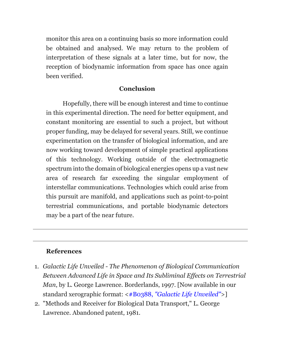monitor this area on a continuing basis so more information could be obtained and analysed. We may return to the problem of interpretation of these signals at a later time, but for now, the reception of biodynamic information from space has once again been verified.

# **Conclusion**

Hopefully, there will be enough interest and time to continue in this experimental direction. The need for better equipment, and constant monitoring are essential to such a project, but without proper funding, may be delayed for several years. Still, we continue experimentation on the transfer of biological information, and are now working toward development of simple practical applications of this technology. Working outside of the electromagnetic spectrum into the domain of biological energies opens up a vast new area of research far exceeding the singular employment of interstellar communications. Technologies which could arise from this pursuit are manifold, and applications such as point-to-point terrestrial communications, and portable biodynamic detectors may be a part of the near future.

# **References**

- 1. *Galactic Life Unveiled - The Phenomenon of Biological Communication Between Advanced Life in Space and Its Subliminal Effects on Terrestrial Man*, by L. George Lawrence. Borderlands, 1997. [Now available in our standard xerographic format: <#B0388, *["Galactic Life Unveiled"](https://borderlandsciences.org/cart/vital-forces/#Lawrence)*>]
- 2. "Methods and Receiver for Biological Data Transport," L. George Lawrence. Abandoned patent, 1981.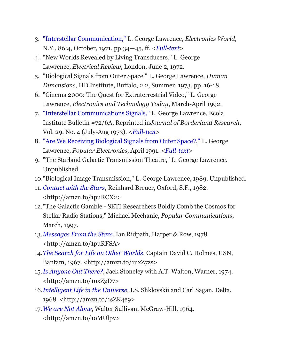- 3. ["Interstellar Communication,"](https://borderlandsciences.org/project/bio-icomm/lg.lawrence/Interstellar_Communications.html) L. George Lawrence, *Electronics World*, N.Y., 86:4, October, 1971, pp.34—45, ff. <*[Full-text](https://borderlandsciences.org/project/bio-icomm/lg.lawrence/Interstellar_Communications.html)*>
- 4. "New Worlds Revealed by Living Transducers," L. George Lawrence, *Electrical Review*, London, June 2, 1972.
- 5. "Biological Signals from Outer Space," L. George Lawrence, *Human Dimensions*, HD Institute, Buffalo, 2.2, Summer, 1973, pp. 16-18.
- 6. "Cinema 2000: The Quest for Extraterrestrial Video," L. George Lawrence, *Electronics and Technology Today*, March-April 1992.
- 7. ["Interstellar Communications Signals,"](https://borderlandsciences.org/journal/vol/29/n04/Lawrence_on_Interstellar_Signals.html) L. George Lawrence, Ecola Institute Bulletin #72/6A, Reprinted in*Journal of Borderland Research*, Vol. 29, No. 4 (July-Aug 1973). <*[Full-text](https://borderlandsciences.org/journal/vol/29/n04/Lawrence_on_Interstellar_Signals.html)*>
- 8. ["Are We Receiving Biological Signals from Outer Space?,"](https://borderlandsciences.org/project/bio-icomm/lg.lawrence/Biological_Signals_from_Outer_Space.html) L. George Lawrence, *Popular Electronics*, April 1991. <*[Full-text](https://borderlandsciences.org/project/bio-icomm/lg.lawrence/Biological_Signals_from_Outer_Space.html)*>
- 9. "The Starland Galactic Transmission Theatre," L. George Lawrence. Unpublished.
- 10."Biological Image Transmission," L. George Lawrence, 1989. Unpublished.
- 11. *[Contact with the Stars](http://amzn.to/1puRCX2)*, Reinhard Breuer, Oxford, S.F., 1982. [<http://amzn.to/1puRCX2>](http://amzn.to/1puRCX2)
- 12."The Galactic Gamble SETI Researchers Boldly Comb the Cosmos for Stellar Radio Stations," Michael Mechanic, *Popular Communications*, March, 1997.
- 13.*[Messages From the Stars](http://amzn.to/1puRFSA)*, Ian Ridpath, Harper & Row, 1978. [<http://amzn.to/1puRFSA>](http://amzn.to/1puRFSA)
- 14.*[The Search for Life on Other Worlds](http://amzn.to/1uxZ7zs)*, Captain David C. Holmes, USN, Bantam, 1967. [<http://amzn.to/1uxZ7zs>](http://amzn.to/1uxZ7zs)
- 15.*[Is Anyone Out There?](http://amzn.to/1uxZgD7)*, Jack Stoneley with A.T. Walton, Warner, 1974. [<http://amzn.to/1uxZgD7>](http://amzn.to/1uxZgD7)
- 16.*[Intelligent Life in the Universe](http://amzn.to/1sZK4e9)*, I.S. Shklovskii and Carl Sagan, Delta, 1968. [<http://amzn.to/1sZK4e9>](http://amzn.to/1sZK4e9)
- 17.*[We are Not Alone](http://amzn.to/1oMUlpv)*, Walter Sullivan, McGraw-Hill, 1964. [<http://amzn.to/1oMUlpv>](http://amzn.to/1oMUlpv)